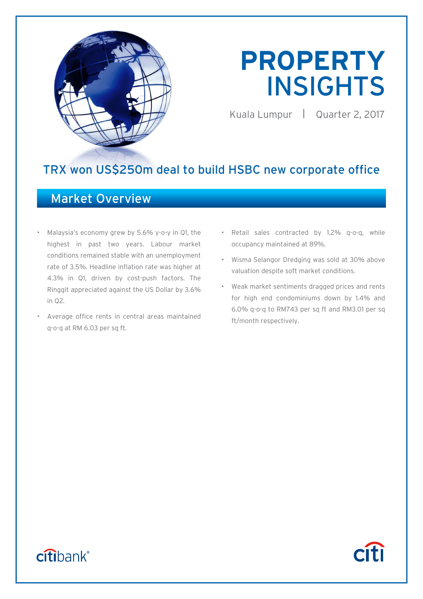

# **PROPERTY**  INSIGHTS

Kuala Lumpur | Quarter 2, 2017

**Citi** 

## TRX won US\$250m deal to build HSBC new corporate office

## Market Overview

- Malaysia's economy grew by 5.6% y-o-y in Q1, the highest in past two years. Labour market conditions remained stable with an unemployment rate of 3.5%. Headline inflation rate was higher at 4.3% in Q1, driven by cost-push factors. The Ringgit appreciated against the US Dollar by 3.6% in Q2.
- Average office rents in central areas maintained q-o-q at RM 6.03 per sq ft.
- Retail sales contracted by 1.2% q-o-q, while occupancy maintained at 89%.
- Wisma Selangor Dredging was sold at 30% above valuation despite soft market conditions.
- Weak market sentiments dragged prices and rents for high end condominiums down by 1.4% and 6.0% q-o-q to RM743 per sq ft and RM3.01 per sq ft/month respectively.

## citibank®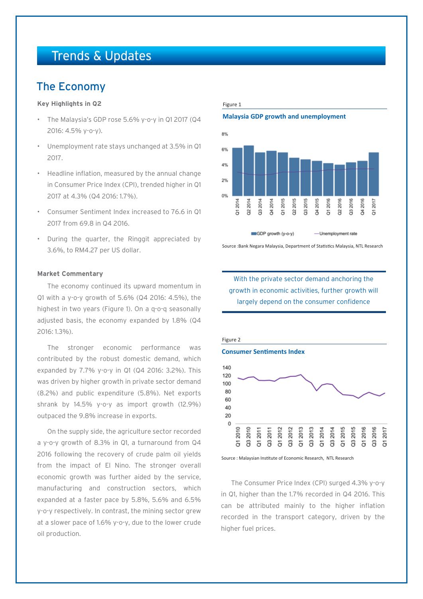## Trends & Updates

## The Economy

## **Key Highlights in Q2**

- The Malaysia's GDP rose 5.6% y-o-y in Q1 2017 (Q4 2016: 4.5% y-o-y).
- Unemployment rate stays unchanged at 3.5% in Q1 2017.
- Headline inflation, measured by the annual change in Consumer Price Index (CPI), trended higher in Q1 2017 at 4.3% (Q4 2016: 1.7%).
- Consumer Sentiment Index increased to 76.6 in Q1 2017 from 69.8 in Q4 2016.
- During the quarter, the Ringgit appreciated by 3.6%, to RM4.27 per US dollar.

## **Market Commentary**

The economy continued its upward momentum in Q1 with a y-o-y growth of 5.6% (Q4 2016: 4.5%), the highest in two years (Figure 1). On a q-o-q seasonally adjusted basis, the economy expanded by 1.8% (Q4 2016: 1.3%).

The stronger economic performance was contributed by the robust domestic demand, which expanded by 7.7% y-o-y in Q1 (Q4 2016: 3.2%). This was driven by higher growth in private sector demand (8.2%) and public expenditure (5.8%). Net exports shrank by 14.5% y-o-y as import growth (12.9%) outpaced the 9.8% increase in exports.

On the supply side, the agriculture sector recorded a y-o-y growth of 8.3% in Q1, a turnaround from Q4 2016 following the recovery of crude palm oil yields from the impact of El Nino. The stronger overall economic growth was further aided by the service, manufacturing and construction sectors, which expanded at a faster pace by 5.8%, 5.6% and 6.5% y-o-y respectively. In contrast, the mining sector grew at a slower pace of 1.6% y-o-y, due to the lower crude oil production.

#### Figure 1

## **Malaysia GDP growth and unemployment**



Source :Bank Negara Malaysia, Department of Statistics Malaysia, NTL Research





Source : Malaysian Institute of Economic Research, NTL Research

The Consumer Price Index (CPI) surged 4.3% y-o-y in Q1, higher than the 1.7% recorded in Q4 2016. This can be attributed mainly to the higher inflation recorded in the transport category, driven by the higher fuel prices.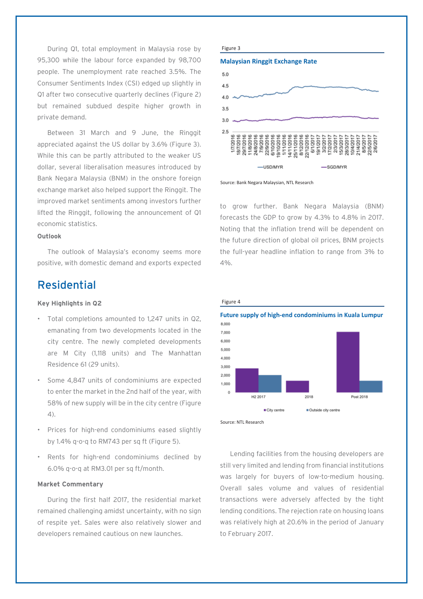During Q1, total employment in Malaysia rose by 95,300 while the labour force expanded by 98,700 people. The unemployment rate reached 3.5%. The Consumer Sentiments Index (CSI) edged up slightly in Q1 after two consecutive quarterly declines (Figure 2) but remained subdued despite higher growth in private demand.

Between 31 March and 9 June, the Ringgit appreciated against the US dollar by 3.6% (Figure 3). While this can be partly attributed to the weaker US dollar, several liberalisation measures introduced by Bank Negara Malaysia (BNM) in the onshore foreign exchange market also helped support the Ringgit. The improved market sentiments among investors further lifted the Ringgit, following the announcement of Q1 economic statistics.

## **Outlook**

The outlook of Malaysia's economy seems more positive, with domestic demand and exports expected

## Residential

## **Key Highlights in Q2**

- Total completions amounted to 1,247 units in Q2, emanating from two developments located in the city centre. The newly completed developments are M City (1,118 units) and The Manhattan Residence 61 (29 units).
- Some 4,847 units of condominiums are expected to enter the market in the 2nd half of the year, with 58% of new supply will be in the city centre (Figure 4).
- Prices for high-end condominiums eased slightly by 1.4% q-o-q to RM743 per sq ft (Figure 5).
- Rents for high-end condominiums declined by 6.0% q-o-q at RM3.01 per sq ft/month.

### **Market Commentary**

During the first half 2017, the residential market remained challenging amidst uncertainty, with no sign of respite yet. Sales were also relatively slower and developers remained cautious on new launches.









to grow further. Bank Negara Malaysia (BNM) forecasts the GDP to grow by 4.3% to 4.8% in 2017. Noting that the inflation trend will be dependent on the future direction of global oil prices, BNM projects the full-year headline inflation to range from 3% to 4%.



Source: NTL Research

Figure 4

Lending facilities from the housing developers are still very limited and lending from financial institutions was largely for buyers of low-to-medium housing. Overall sales volume and values of residential transactions were adversely affected by the tight lending conditions. The rejection rate on housing loans was relatively high at 20.6% in the period of January to February 2017.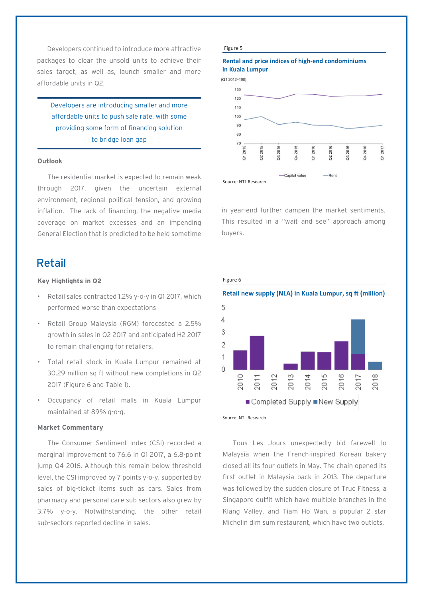Developers continued to introduce more attractive packages to clear the unsold units to achieve their sales target, as well as, launch smaller and more affordable units in Q2.

Developers are introducing smaller and more affordable units to push sale rate, with some providing some form of financing solution to bridge loan gap

### **Outlook**

The residential market is expected to remain weak through 2017, given the uncertain external environment, regional political tension, and growing inflation. The lack of financing, the negative media coverage on market excesses and an impending General Election that is predicted to be held sometime

## Retail

## **Key Highlights in Q2**

- Retail sales contracted 1.2% y-o-y in Q1 2017, which performed worse than expectations
- Retail Group Malaysia (RGM) forecasted a 2.5% growth in sales in Q2 2017 and anticipated H2 2017 to remain challenging for retailers.
- Total retail stock in Kuala Lumpur remained at 30.29 million sq ft without new completions in Q2 2017 (Figure 6 and Table 1).
- Occupancy of retail malls in Kuala Lumpur maintained at 89% q-o-q.

## **Market Commentary**

The Consumer Sentiment Index (CSI) recorded a marginal improvement to 76.6 in Q1 2017, a 6.8-point jump Q4 2016. Although this remain below threshold level, the CSI improved by 7 points y-o-y, supported by sales of big-ticket items such as cars. Sales from pharmacy and personal care sub sectors also grew by 3.7% y-o-y. Notwithstanding, the other retail sub-sectors reported decline in sales.

#### Figure 5

## **Rental and price indices of high-end condominiums in Kuala Lumpur**

 $(01.2012 \pm 100)$ 



in year-end further dampen the market sentiments. This resulted in a "wait and see" approach among buyers.

#### Figure 6





Tous Les Jours unexpectedly bid farewell to Malaysia when the French-inspired Korean bakery closed all its four outlets in May. The chain opened its first outlet in Malaysia back in 2013. The departure was followed by the sudden closure of True Fitness, a Singapore outfit which have multiple branches in the Klang Valley, and Tiam Ho Wan, a popular 2 star Michelin dim sum restaurant, which have two outlets.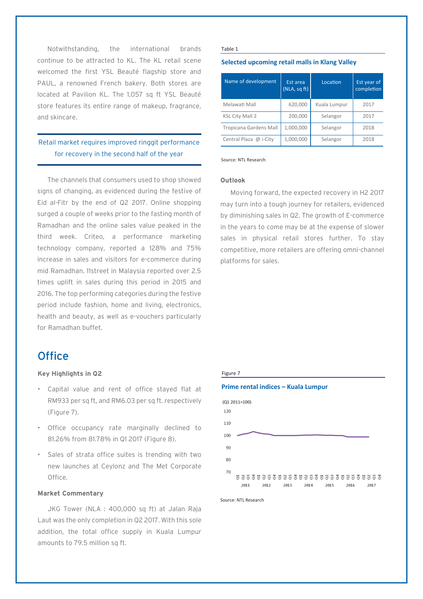Notwithstanding, the international brands continue to be attracted to KL. The KL retail scene welcomed the first YSL Beauté flagship store and PAUL, a renowned French bakery. Both stores are located at Pavilion KL. The 1,057 sq ft YSL Beauté store features its entire range of makeup, fragrance, and skincare.

## Retail market requires improved ringgit performance for recovery in the second half of the year

The channels that consumers used to shop showed signs of changing, as evidenced during the festive of Eid al-Fitr by the end of Q2 2017. Online shopping surged a couple of weeks prior to the fasting month of Ramadhan and the online sales value peaked in the third week. Criteo, a performance marketing technology company, reported a 128% and 75% increase in sales and visitors for e-commerce during mid Ramadhan. 11street in Malaysia reported over 2.5 times uplift in sales during this period in 2015 and 2016. The top performing categories during the festive period include fashion, home and living, electronics, health and beauty, as well as e-vouchers particularly for Ramadhan buffet.

## **Office**

## **Key Highlights in Q2**

- Capital value and rent of office stayed flat at RM933 per sq ft, and RM6.03 per sq ft. respectively (Figure 7).
- Office occupancy rate marginally declined to 81.26% from 81.78% in Q1 2017 (Figure 8).
- Sales of strata office suites is trending with two new launches at Ceylonz and The Met Corporate Office.

## **Market Commentary**

JKG Tower (NLA : 400,000 sq ft) at Jalan Raja Laut was the only completion in Q2 2017. With this sole addition, the total office supply in Kuala Lumpur amounts to 79.5 million sq ft.

#### Table 1

## **Selected upcoming retail malls in Klang Valley**

| Name of development    | Est area<br>(NLA, sqT) | Location     | Est year of<br>completion |
|------------------------|------------------------|--------------|---------------------------|
| Melawati Mall          | 620,000                | Kuala Lumpur | 2017                      |
| <b>KSL City Mall 2</b> | 200,000                | Selangor     | 2017                      |
| Tropicana Gardens Mall | 1,000,000              | Selangor     | 2018                      |
| Central Plaza @ i-City | 1,000,000              | Selangor     | 2018                      |

#### Source: NTL Research

### **Outlook**

Moving forward, the expected recovery in H2 2017 may turn into a tough journey for retailers, evidenced by diminishing sales in Q2. The growth of E-commerce in the years to come may be at the expense of slower sales in physical retail stores further. To stay competitive, more retailers are offering omni-channel platforms for sales.

## Figure 7

### **Prime rental indices – Kuala Lumpur**



Source: NTL Research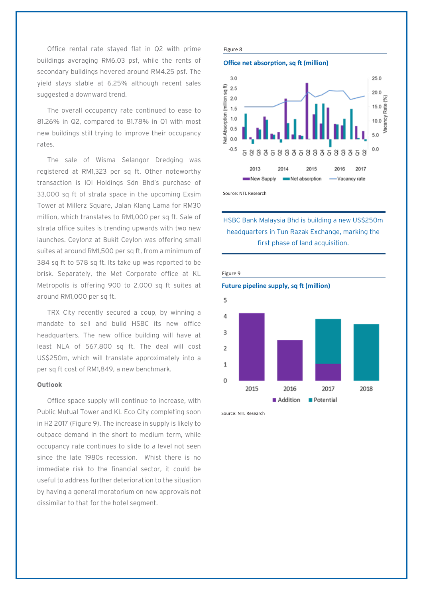Office rental rate stayed flat in Q2 with prime buildings averaging RM6.03 psf, while the rents of secondary buildings hovered around RM4.25 psf. The yield stays stable at 6.25% although recent sales suggested a downward trend.

The overall occupancy rate continued to ease to 81.26% in Q2, compared to 81.78% in Q1 with most new buildings still trying to improve their occupancy rates.

The sale of Wisma Selangor Dredging was registered at RM1,323 per sq ft. Other noteworthy transaction is IQI Holdings Sdn Bhd's purchase of 33,000 sq ft of strata space in the upcoming Exsim Tower at Millerz Square, Jalan Klang Lama for RM30 million, which translates to RM1,000 per sq ft. Sale of strata office suites is trending upwards with two new launches. Ceylonz at Bukit Ceylon was offering small suites at around RM1,500 per sq ft, from a minimum of 384 sq ft to 578 sq ft. Its take up was reported to be brisk. Separately, the Met Corporate office at KL Metropolis is offering 900 to 2,000 sq ft suites at around RM1,000 per sq ft.

TRX City recently secured a coup, by winning a mandate to sell and build HSBC its new office headquarters. The new office building will have at least NLA of 567,800 sq ft. The deal will cost US\$250m, which will translate approximately into a per sq ft cost of RM1,849, a new benchmark.

## **Outlook**

Office space supply will continue to increase, with Public Mutual Tower and KL Eco City completing soon in H2 2017 (Figure 9). The increase in supply is likely to outpace demand in the short to medium term, while occupancy rate continues to slide to a level not seen since the late 1980s recession. Whist there is no immediate risk to the financial sector, it could be useful to address further deterioration to the situation by having a general moratorium on new approvals not dissimilar to that for the hotel segment.







Source: NTL Research

## HSBC Bank Malaysia Bhd is building a new US\$250m headquarters in Tun Razak Exchange, marking the first phase of land acquisition.



Source: NTL Research